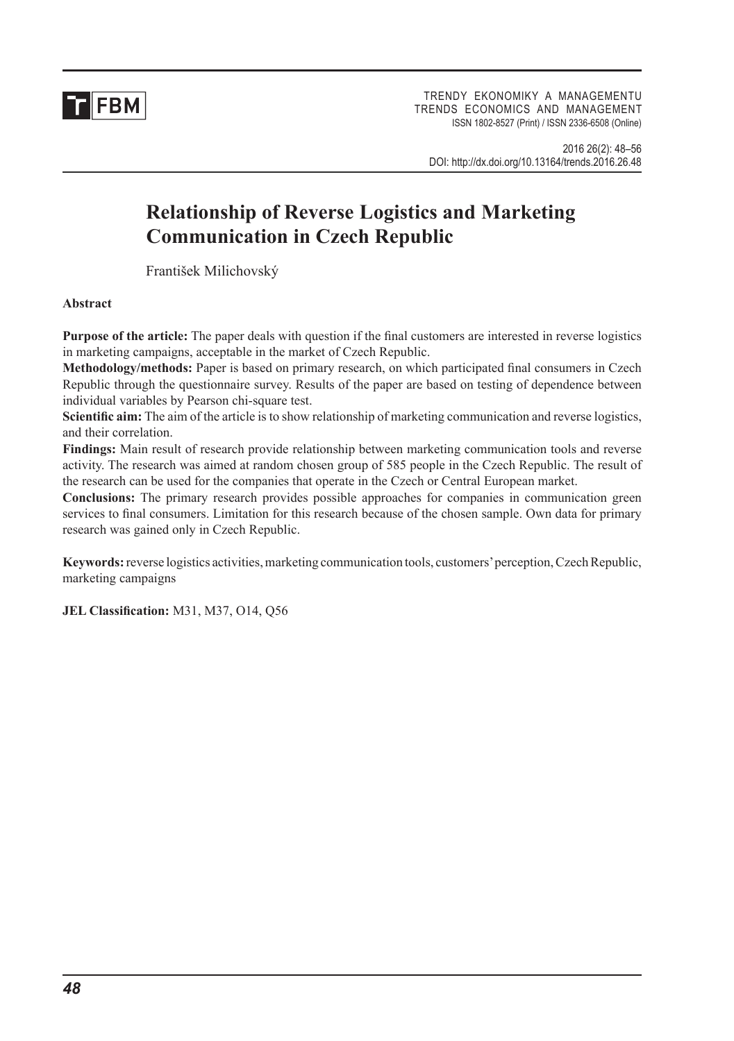

TRENDY EKONOMIKY A MANAGEMENTU TRENDS ECONOMICS AND MANAGEMENT issn 1802-8527 (Print) / issn 2336-6508 (online)

2016 26(2): 48–56 DOI: http://dx.doi.org/10.13164/trends.2016.26.48

# **Relationship of Reverse logistics and marketing communication in czech Republic**

František Milichovský

**Abstract**

**Purpose of the article:** The paper deals with question if the final customers are interested in reverse logistics in marketing campaigns, acceptable in the market of Czech Republic.

**methodology/methods:** Paper is based on primary research, on which participated final consumers in Czech Republic through the questionnaire survey. Results of the paper are based on testing of dependence between individual variables by Pearson chi-square test.

**Scientific aim:** The aim of the article is to show relationship of marketing communication and reverse logistics, and their correlation.

**Findings:** Main result of research provide relationship between marketing communication tools and reverse activity. The research was aimed at random chosen group of 585 people in the Czech Republic. The result of the research can be used for the companies that operate in the Czech or Central European market.

**conclusions:** The primary research provides possible approaches for companies in communication green services to final consumers. Limitation for this research because of the chosen sample. Own data for primary research was gained only in Czech Republic.

**Keywords:** reverse logistics activities, marketing communication tools, customers' perception, Czech Republic, marketing campaigns

**JEL Classification:** M31, M37, O14, Q56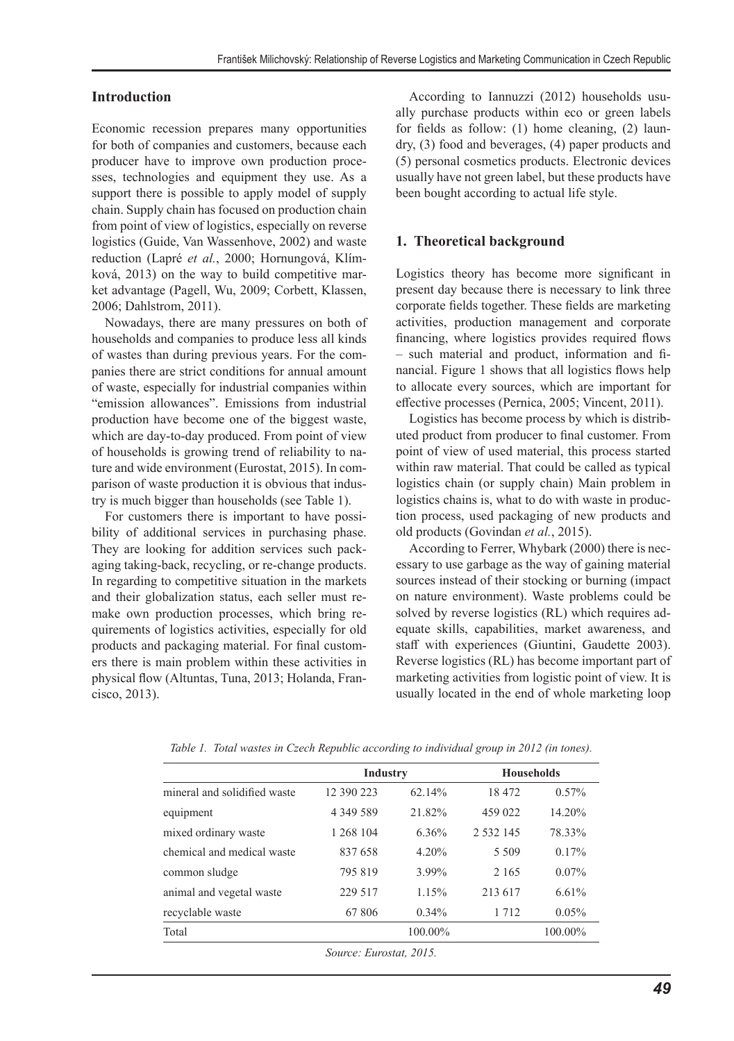### **Introduction**

Economic recession prepares many opportunities for both of companies and customers, because each producer have to improve own production processes, technologies and equipment they use. As a support there is possible to apply model of supply chain. Supply chain has focused on production chain from point of view of logistics, especially on reverse logistics (Guide, Van Wassenhove, 2002) and waste reduction (Lapré *et al.*, 2000; Hornungová, Klímková, 2013) on the way to build competitive market advantage (Pagell, Wu, 2009; Corbett, Klassen, 2006; Dahlstrom, 2011).

Nowadays, there are many pressures on both of households and companies to produce less all kinds of wastes than during previous years. For the companies there are strict conditions for annual amount of waste, especially for industrial companies within "emission allowances". Emissions from industrial production have become one of the biggest waste, which are day-to-day produced. From point of view of households is growing trend of reliability to nature and wide environment (Eurostat, 2015). In comparison of waste production it is obvious that industry is much bigger than households (see Table 1).

For customers there is important to have possibility of additional services in purchasing phase. They are looking for addition services such packaging taking-back, recycling, or re-change products. In regarding to competitive situation in the markets and their globalization status, each seller must remake own production processes, which bring requirements of logistics activities, especially for old products and packaging material. For final customers there is main problem within these activities in physical flow (Altuntas, Tuna, 2013; Holanda, Francisco, 2013).

According to Iannuzzi (2012) households usually purchase products within eco or green labels for fields as follow: (1) home cleaning, (2) laundry, (3) food and beverages, (4) paper products and (5) personal cosmetics products. Electronic devices usually have not green label, but these products have been bought according to actual life style.

#### **1. Theoretical background**

Logistics theory has become more significant in present day because there is necessary to link three corporate fields together. These fields are marketing activities, production management and corporate financing, where logistics provides required flows – such material and product, information and financial. Figure 1 shows that all logistics flows help to allocate every sources, which are important for effective processes (Pernica, 2005; Vincent, 2011).

Logistics has become process by which is distributed product from producer to final customer. From point of view of used material, this process started within raw material. That could be called as typical logistics chain (or supply chain) Main problem in logistics chains is, what to do with waste in production process, used packaging of new products and old products (Govindan *et al.*, 2015).

According to Ferrer, Whybark (2000) there is necessary to use garbage as the way of gaining material sources instead of their stocking or burning (impact on nature environment). Waste problems could be solved by reverse logistics (RL) which requires adequate skills, capabilities, market awareness, and staff with experiences (Giuntini, Gaudette 2003). Reverse logistics (RL) has become important part of marketing activities from logistic point of view. It is usually located in the end of whole marketing loop

|                              | <b>Industry</b>         |          | <b>Households</b> |          |  |
|------------------------------|-------------------------|----------|-------------------|----------|--|
| mineral and solidified waste | 62.14%<br>12 390 223    |          | 18 472            | 0.57%    |  |
| equipment                    | 4 3 4 9 5 8 9           | 21.82%   | 459 022           | 14.20%   |  |
| mixed ordinary waste         | 1 268 104               | 6.36%    | 2 5 3 2 1 4 5     | 78.33%   |  |
| chemical and medical waste   | 837 658                 | 4.20%    | 5 509             | 0.17%    |  |
| common sludge                | 795819                  | 3.99%    | 2 1 6 5           | $0.07\%$ |  |
| animal and vegetal waste     | 229 517                 | 1.15%    | 213 617           | 6.61%    |  |
| recyclable waste             | 67806                   | $0.34\%$ | 1 7 1 2           | 0.05%    |  |
| Total                        |                         | 100.00%  |                   | 100.00%  |  |
|                              | Source: Eurostat, 2015. |          |                   |          |  |

|  | Table 1. Total wastes in Czech Republic according to individual group in 2012 (in tones). |  |
|--|-------------------------------------------------------------------------------------------|--|
|--|-------------------------------------------------------------------------------------------|--|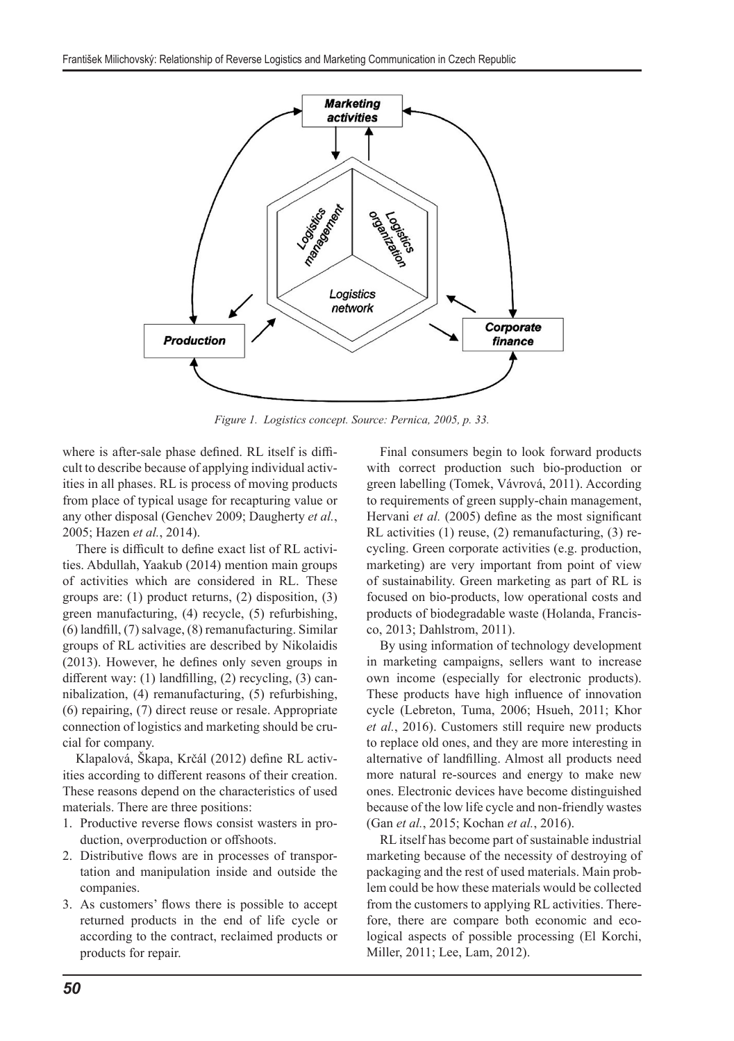

*Figure 1. Logistics concept. Source: Pernica, 2005, p. 33.*

where is after-sale phase defined. RL itself is difficult to describe because of applying individual activities in all phases. RL is process of moving products from place of typical usage for recapturing value or any other disposal (Genchev 2009; Daugherty *et al.*, 2005; Hazen *et al.*, 2014).

There is difficult to define exact list of RL activities. Abdullah, Yaakub (2014) mention main groups of activities which are considered in RL. These groups are: (1) product returns, (2) disposition, (3) green manufacturing, (4) recycle, (5) refurbishing, (6) landfill, (7) salvage, (8) remanufacturing. Similar groups of RL activities are described by Nikolaidis (2013). However, he defines only seven groups in different way: (1) landfilling, (2) recycling, (3) cannibalization, (4) remanufacturing, (5) refurbishing, (6) repairing, (7) direct reuse or resale. Appropriate connection of logistics and marketing should be crucial for company.

Klapalová, Škapa, Krčál (2012) define RL activities according to different reasons of their creation. These reasons depend on the characteristics of used materials. There are three positions:

- 1. Productive reverse flows consist wasters in production, overproduction or offshoots.
- 2. Distributive flows are in processes of transportation and manipulation inside and outside the companies.
- 3. As customers' flows there is possible to accept returned products in the end of life cycle or according to the contract, reclaimed products or products for repair.

Final consumers begin to look forward products with correct production such bio-production or green labelling (Tomek, Vávrová, 2011). According to requirements of green supply-chain management, Hervani *et al.* (2005) define as the most significant RL activities (1) reuse, (2) remanufacturing, (3) recycling. Green corporate activities (e.g. production, marketing) are very important from point of view of sustainability. Green marketing as part of RL is focused on bio-products, low operational costs and products of biodegradable waste (Holanda, Francisco, 2013; Dahlstrom, 2011).

By using information of technology development in marketing campaigns, sellers want to increase own income (especially for electronic products). These products have high influence of innovation cycle (Lebreton, Tuma, 2006; Hsueh, 2011; Khor *et al.*, 2016). Customers still require new products to replace old ones, and they are more interesting in alternative of landfilling. Almost all products need more natural re-sources and energy to make new ones. Electronic devices have become distinguished because of the low life cycle and non-friendly wastes (Gan *et al.*, 2015; Kochan *et al.*, 2016).

RL itself has become part of sustainable industrial marketing because of the necessity of destroying of packaging and the rest of used materials. Main problem could be how these materials would be collected from the customers to applying RL activities. Therefore, there are compare both economic and ecological aspects of possible processing (El Korchi, Miller, 2011; Lee, Lam, 2012).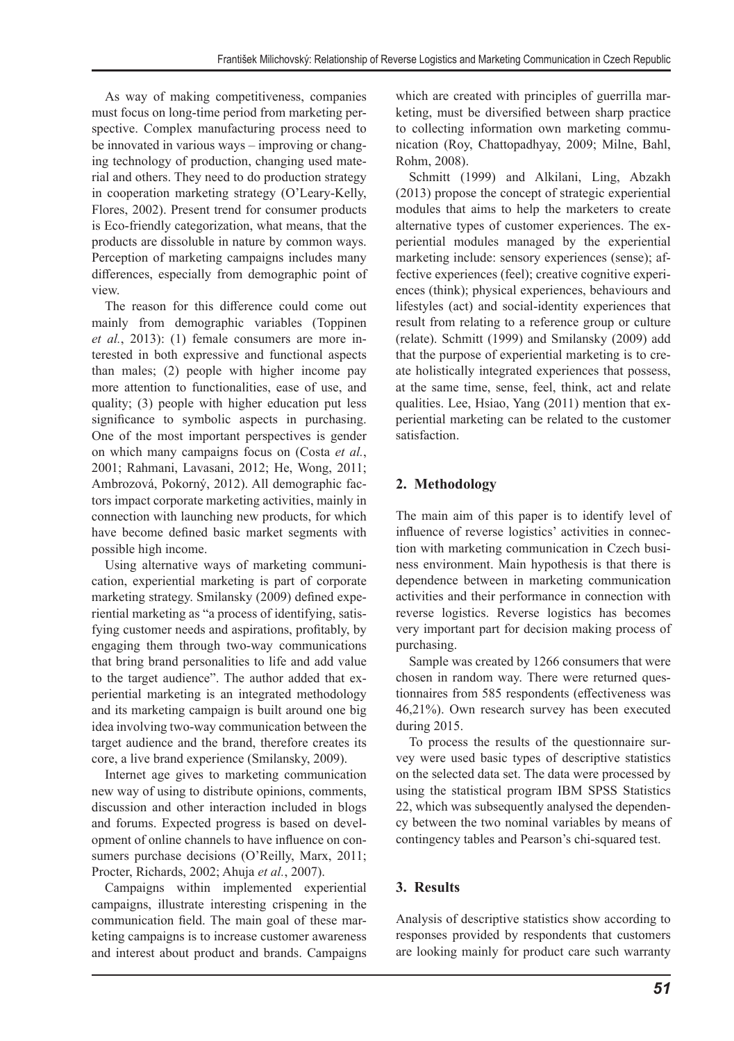As way of making competitiveness, companies must focus on long-time period from marketing perspective. Complex manufacturing process need to be innovated in various ways – improving or changing technology of production, changing used material and others. They need to do production strategy in cooperation marketing strategy (O'Leary-Kelly, Flores, 2002). Present trend for consumer products is Eco-friendly categorization, what means, that the products are dissoluble in nature by common ways. Perception of marketing campaigns includes many differences, especially from demographic point of view.

The reason for this difference could come out mainly from demographic variables (Toppinen *et al.*, 2013): (1) female consumers are more interested in both expressive and functional aspects than males; (2) people with higher income pay more attention to functionalities, ease of use, and quality; (3) people with higher education put less significance to symbolic aspects in purchasing. One of the most important perspectives is gender on which many campaigns focus on (Costa *et al.*, 2001; Rahmani, Lavasani, 2012; He, Wong, 2011; Ambrozová, Pokorný, 2012). All demographic factors impact corporate marketing activities, mainly in connection with launching new products, for which have become defined basic market segments with possible high income.

Using alternative ways of marketing communication, experiential marketing is part of corporate marketing strategy. Smilansky (2009) defined experiential marketing as "a process of identifying, satisfying customer needs and aspirations, profitably, by engaging them through two-way communications that bring brand personalities to life and add value to the target audience". The author added that experiential marketing is an integrated methodology and its marketing campaign is built around one big idea involving two-way communication between the target audience and the brand, therefore creates its core, a live brand experience (Smilansky, 2009).

Internet age gives to marketing communication new way of using to distribute opinions, comments, discussion and other interaction included in blogs and forums. Expected progress is based on development of online channels to have influence on consumers purchase decisions (O'Reilly, Marx, 2011; Procter, Richards, 2002; Ahuja *et al.*, 2007).

Campaigns within implemented experiential campaigns, illustrate interesting crispening in the communication field. The main goal of these marketing campaigns is to increase customer awareness and interest about product and brands. Campaigns which are created with principles of guerrilla marketing, must be diversified between sharp practice to collecting information own marketing communication (Roy, Chattopadhyay, 2009; Milne, Bahl, Rohm, 2008).

Schmitt (1999) and Alkilani, Ling, Abzakh (2013) propose the concept of strategic experiential modules that aims to help the marketers to create alternative types of customer experiences. The experiential modules managed by the experiential marketing include: sensory experiences (sense); affective experiences (feel); creative cognitive experiences (think); physical experiences, behaviours and lifestyles (act) and social-identity experiences that result from relating to a reference group or culture (relate). Schmitt (1999) and Smilansky (2009) add that the purpose of experiential marketing is to create holistically integrated experiences that possess, at the same time, sense, feel, think, act and relate qualities. Lee, Hsiao, Yang (2011) mention that experiential marketing can be related to the customer satisfaction.

# **2. methodology**

The main aim of this paper is to identify level of influence of reverse logistics' activities in connection with marketing communication in Czech business environment. Main hypothesis is that there is dependence between in marketing communication activities and their performance in connection with reverse logistics. Reverse logistics has becomes very important part for decision making process of purchasing.

Sample was created by 1266 consumers that were chosen in random way. There were returned questionnaires from 585 respondents (effectiveness was 46,21%). Own research survey has been executed during 2015.

To process the results of the questionnaire survey were used basic types of descriptive statistics on the selected data set. The data were processed by using the statistical program IBM SPSS Statistics 22, which was subsequently analysed the dependency between the two nominal variables by means of contingency tables and Pearson's chi-squared test.

# **3. Results**

Analysis of descriptive statistics show according to responses provided by respondents that customers are looking mainly for product care such warranty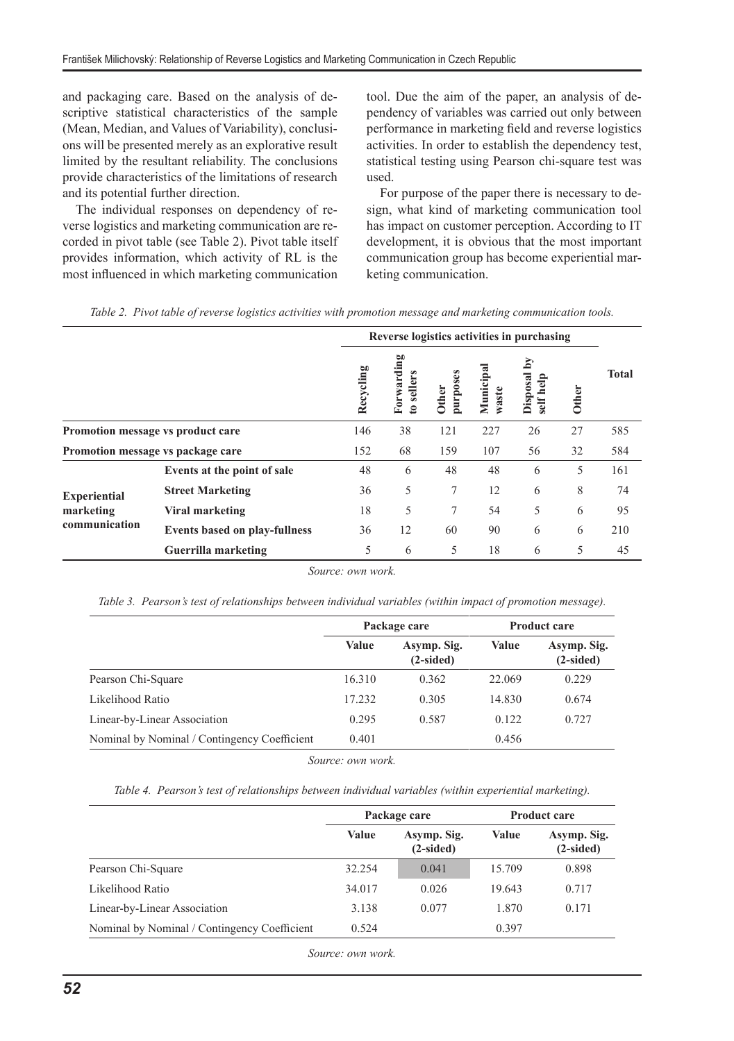and packaging care. Based on the analysis of descriptive statistical characteristics of the sample (Mean, Median, and Values of Variability), conclusions will be presented merely as an explorative result limited by the resultant reliability. The conclusions provide characteristics of the limitations of research and its potential further direction.

The individual responses on dependency of reverse logistics and marketing communication are recorded in pivot table (see Table 2). Pivot table itself provides information, which activity of RL is the most influenced in which marketing communication

tool. Due the aim of the paper, an analysis of dependency of variables was carried out only between performance in marketing field and reverse logistics activities. In order to establish the dependency test, statistical testing using Pearson chi-square test was used.

For purpose of the paper there is necessary to design, what kind of marketing communication tool has impact on customer perception. According to IT development, it is obvious that the most important communication group has become experiential marketing communication.

|                                   |                                                                                           |           |                          |                   |                    | Reverse logistics activities in purchasing |       |              |
|-----------------------------------|-------------------------------------------------------------------------------------------|-----------|--------------------------|-------------------|--------------------|--------------------------------------------|-------|--------------|
|                                   |                                                                                           | Recycling | Forwarding<br>to sellers | purposes<br>Other | Municipal<br>waste | ζq<br>Disposal<br>self help                | Other | <b>Total</b> |
| Promotion message vs product care |                                                                                           | 146       | 38                       | 121               | 227                | 26                                         | 27    | 585          |
| Promotion message vs package care |                                                                                           | 152       | 68                       | 159               | 107                | 56                                         | 32    | 584          |
|                                   | Events at the point of sale                                                               | 48        | 6                        | 48                | 48                 | 6                                          | 5     | 161          |
| <b>Experiential</b>               | <b>Street Marketing</b>                                                                   | 36        | 5                        | 7                 | 12                 | 6                                          | 8     | 74           |
| marketing                         | 5<br>7<br>18<br>Viral marketing<br>12<br>36<br>60<br><b>Events based on play-fullness</b> | 54        | 5                        | 6                 | 95                 |                                            |       |              |
| communication                     |                                                                                           |           |                          |                   | 90                 | 6                                          | 6     | 210          |
|                                   | Guerrilla marketing                                                                       | 5         | 6                        | 5                 | 18                 | 6                                          | 5     | 45           |

*Table 2. Pivot table of reverse logistics activities with promotion message and marketing communication tools.*

*Source: own work.*

|  |  |  | Table 3. Pearson's test of relationships between individual variables (within impact of promotion message). |
|--|--|--|-------------------------------------------------------------------------------------------------------------|
|  |  |  |                                                                                                             |

|                                              | Package care |                            |              | <b>Product care</b>        |
|----------------------------------------------|--------------|----------------------------|--------------|----------------------------|
|                                              | Value        | Asymp. Sig.<br>$(2-sided)$ | <b>Value</b> | Asymp. Sig.<br>$(2-sided)$ |
| Pearson Chi-Square                           | 16.310       | 0.362                      | 22.069       | 0.229                      |
| Likelihood Ratio                             | 17.232       | 0.305                      | 14.830       | 0.674                      |
| Linear-by-Linear Association                 | 0.295        | 0.587                      | 0.122        | 0.727                      |
| Nominal by Nominal / Contingency Coefficient | 0.401        |                            | 0.456        |                            |

*Source: own work.*

*Table 4. Pearson's test of relationships between individual variables (within experiential marketing).*

|                                              | Package care |                            |              | <b>Product care</b>        |
|----------------------------------------------|--------------|----------------------------|--------------|----------------------------|
|                                              | Value        | Asymp. Sig.<br>$(2-sided)$ | <b>Value</b> | Asymp. Sig.<br>$(2-sided)$ |
| Pearson Chi-Square                           | 32.254       | 0.041                      | 15.709       | 0.898                      |
| Likelihood Ratio                             | 34.017       | 0.026                      | 19.643       | 0.717                      |
| Linear-by-Linear Association                 | 3.138        | 0.077                      | 1.870        | 0.171                      |
| Nominal by Nominal / Contingency Coefficient | 0.524        |                            | 0.397        |                            |

*Source: own work.*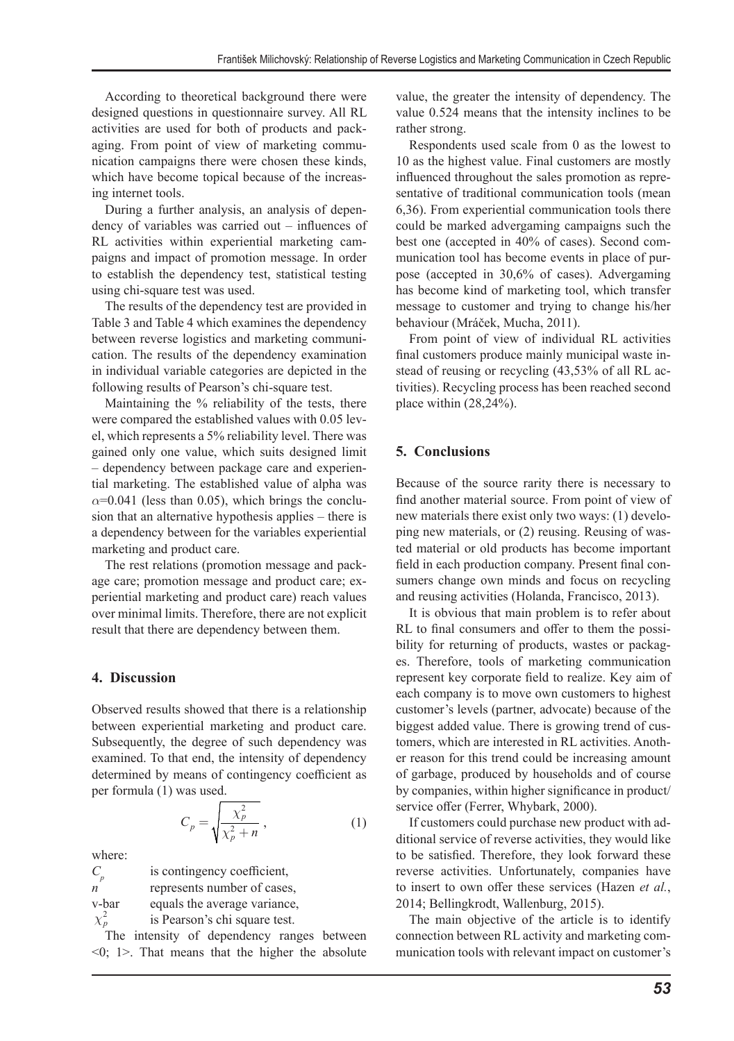According to theoretical background there were designed questions in questionnaire survey. All RL activities are used for both of products and packaging. From point of view of marketing communication campaigns there were chosen these kinds, which have become topical because of the increasing internet tools.

During a further analysis, an analysis of dependency of variables was carried out – influences of RL activities within experiential marketing campaigns and impact of promotion message. In order to establish the dependency test, statistical testing using chi-square test was used.

The results of the dependency test are provided in Table 3 and Table 4 which examines the dependency between reverse logistics and marketing communication. The results of the dependency examination in individual variable categories are depicted in the following results of Pearson's chi-square test.

Maintaining the % reliability of the tests, there were compared the established values with 0.05 level, which represents a 5% reliability level. There was gained only one value, which suits designed limit – dependency between package care and experiential marketing. The established value of alpha was  $\alpha$ =0.041 (less than 0.05), which brings the conclusion that an alternative hypothesis applies – there is a dependency between for the variables experiential marketing and product care.

The rest relations (promotion message and package care; promotion message and product care; experiential marketing and product care) reach values over minimal limits. Therefore, there are not explicit result that there are dependency between them.

#### **4. Discussion**

Observed results showed that there is a relationship between experiential marketing and product care. Subsequently, the degree of such dependency was examined. To that end, the intensity of dependency determined by means of contingency coefficient as per formula (1) was used.

$$
C_p = \sqrt{\frac{\chi_p^2}{\chi_p^2 + n}},\tag{1}
$$

where:

*C<sub>p</sub>* is contingency coefficient, *n* represents number of cases, v-bar equals the average variance,  $\chi_p^2$  is Pearson's chi square test.

The intensity of dependency ranges between <0; 1>. That means that the higher the absolute value, the greater the intensity of dependency. The value 0.524 means that the intensity inclines to be rather strong.

Respondents used scale from 0 as the lowest to 10 as the highest value. Final customers are mostly influenced throughout the sales promotion as representative of traditional communication tools (mean 6,36). From experiential communication tools there could be marked advergaming campaigns such the best one (accepted in 40% of cases). Second communication tool has become events in place of purpose (accepted in 30,6% of cases). Advergaming has become kind of marketing tool, which transfer message to customer and trying to change his/her behaviour (Mráček, Mucha, 2011).

From point of view of individual RL activities final customers produce mainly municipal waste instead of reusing or recycling (43,53% of all RL activities). Recycling process has been reached second place within (28,24%).

#### **5. conclusions**

Because of the source rarity there is necessary to find another material source. From point of view of new materials there exist only two ways: (1) developing new materials, or (2) reusing. Reusing of wasted material or old products has become important field in each production company. Present final consumers change own minds and focus on recycling and reusing activities (Holanda, Francisco, 2013).

It is obvious that main problem is to refer about RL to final consumers and offer to them the possibility for returning of products, wastes or packages. Therefore, tools of marketing communication represent key corporate field to realize. Key aim of each company is to move own customers to highest customer's levels (partner, advocate) because of the biggest added value. There is growing trend of customers, which are interested in RL activities. Another reason for this trend could be increasing amount of garbage, produced by households and of course by companies, within higher significance in product/ service offer (Ferrer, Whybark, 2000).

If customers could purchase new product with additional service of reverse activities, they would like to be satisfied. Therefore, they look forward these reverse activities. Unfortunately, companies have to insert to own offer these services (Hazen *et al.*, 2014; Bellingkrodt, Wallenburg, 2015).

The main objective of the article is to identify connection between RL activity and marketing communication tools with relevant impact on customer's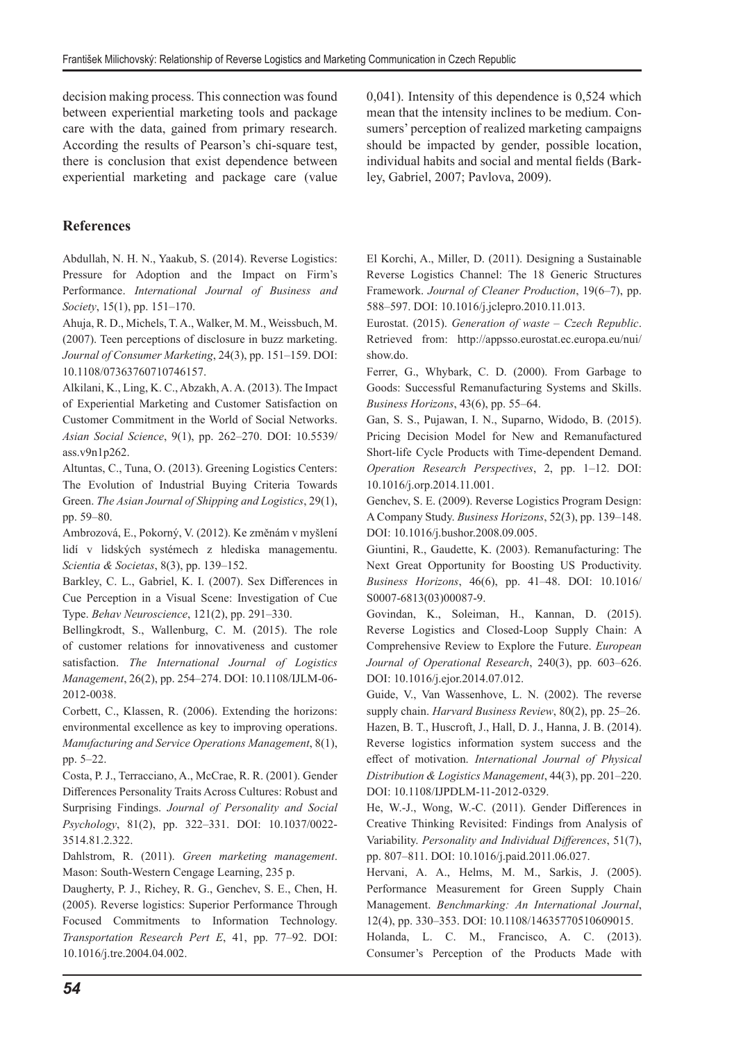decision making process. This connection was found between experiential marketing tools and package care with the data, gained from primary research. According the results of Pearson's chi-square test, there is conclusion that exist dependence between experiential marketing and package care (value

## **References**

Abdullah, N. H. N., Yaakub, S. (2014). Reverse Logistics: Pressure for Adoption and the Impact on Firm's Performance. *International Journal of Business and Society*, 15(1), pp. 151–170.

Ahuja, R. D., Michels, T. A., Walker, M. M., Weissbuch, M. (2007). Teen perceptions of disclosure in buzz marketing. *Journal of Consumer Marketing*, 24(3), pp. 151–159. DOI: 10.1108/07363760710746157.

Alkilani, K., Ling, K. C., Abzakh, A. A. (2013). The Impact of Experiential Marketing and Customer Satisfaction on Customer Commitment in the World of Social Networks. *Asian Social Science*, 9(1), pp. 262–270. DOI: 10.5539/ ass.v9n1p262.

Altuntas, C., Tuna, O. (2013). Greening Logistics Centers: The Evolution of Industrial Buying Criteria Towards Green. *The Asian Journal of Shipping and Logistics*, 29(1), pp. 59–80.

Ambrozová, E., Pokorný, V. (2012). Ke změnám v myšlení lidí v lidských systémech z hlediska managementu. *Scientia & Societas*, 8(3), pp. 139–152.

Barkley, C. L., Gabriel, K. I. (2007). Sex Differences in Cue Perception in a Visual Scene: Investigation of Cue Type. *Behav Neuroscience*, 121(2), pp. 291–330.

Bellingkrodt, S., Wallenburg, C. M. (2015). The role of customer relations for innovativeness and customer satisfaction. *The International Journal of Logistics Management*, 26(2), pp. 254–274. DOI: 10.1108/IJLM-06- 2012-0038.

Corbett, C., Klassen, R. (2006). Extending the horizons: environmental excellence as key to improving operations. *Manufacturing and Service Operations Management*, 8(1), pp. 5–22.

Costa, P. J., Terracciano, A., McCrae, R. R. (2001). Gender Differences Personality Traits Across Cultures: Robust and Surprising Findings. *Journal of Personality and Social Psychology*, 81(2), pp. 322–331. DOI: 10.1037/0022- 3514.81.2.322.

Dahlstrom, R. (2011). *Green marketing management*. Mason: South-Western Cengage Learning, 235 p.

Daugherty, P. J., Richey, R. G., Genchev, S. E., Chen, H. (2005). Reverse logistics: Superior Performance Through Focused Commitments to Information Technology. *Transportation Research Pert E*, 41, pp. 77–92. DOI: 10.1016/j.tre.2004.04.002.

0,041). Intensity of this dependence is 0,524 which mean that the intensity inclines to be medium. Consumers' perception of realized marketing campaigns should be impacted by gender, possible location, individual habits and social and mental fields (Barkley, Gabriel, 2007; Pavlova, 2009).

El Korchi, A., Miller, D. (2011). Designing a Sustainable Reverse Logistics Channel: The 18 Generic Structures Framework. *Journal of Cleaner Production*, 19(6–7), pp. 588–597. DOI: 10.1016/j.jclepro.2010.11.013.

Eurostat. (2015). *Generation of waste – Czech Republic*. Retrieved from: http://appsso.eurostat.ec.europa.eu/nui/ show.do.

Ferrer, G., Whybark, C. D. (2000). From Garbage to Goods: Successful Remanufacturing Systems and Skills. *Business Horizons*, 43(6), pp. 55–64.

Gan, S. S., Pujawan, I. N., Suparno, Widodo, B. (2015). Pricing Decision Model for New and Remanufactured Short-life Cycle Products with Time-dependent Demand. *Operation Research Perspectives*, 2, pp. 1–12. DOI: 10.1016/j.orp.2014.11.001.

Genchev, S. E. (2009). Reverse Logistics Program Design: A Company Study. *Business Horizons*, 52(3), pp. 139–148. DOI: 10.1016/j.bushor.2008.09.005.

Giuntini, R., Gaudette, K. (2003). Remanufacturing: The Next Great Opportunity for Boosting US Productivity. *Business Horizons*, 46(6), pp. 41–48. DOI: 10.1016/ S0007-6813(03)00087-9.

Govindan, K., Soleiman, H., Kannan, D. (2015). Reverse Logistics and Closed-Loop Supply Chain: A Comprehensive Review to Explore the Future. *European Journal of Operational Research*, 240(3), pp. 603–626. DOI: 10.1016/j.ejor.2014.07.012.

Guide, V., Van Wassenhove, L. N. (2002). The reverse supply chain. *Harvard Business Review*, 80(2), pp. 25–26. Hazen, B. T., Huscroft, J., Hall, D. J., Hanna, J. B. (2014). Reverse logistics information system success and the effect of motivation. *International Journal of Physical Distribution & Logistics Management*, 44(3), pp. 201–220. DOI: 10.1108/IJPDLM-11-2012-0329.

He, W.-J., Wong, W.-C. (2011). Gender Differences in Creative Thinking Revisited: Findings from Analysis of Variability. *Personality and Individual Differences*, 51(7), pp. 807–811. DOI: 10.1016/j.paid.2011.06.027.

Hervani, A. A., Helms, M. M., Sarkis, J. (2005). Performance Measurement for Green Supply Chain Management. *Benchmarking: An International Journal*, 12(4), pp. 330–353. DOI: 10.1108/14635770510609015.

Holanda, L. C. M., Francisco, A. C. (2013). Consumer's Perception of the Products Made with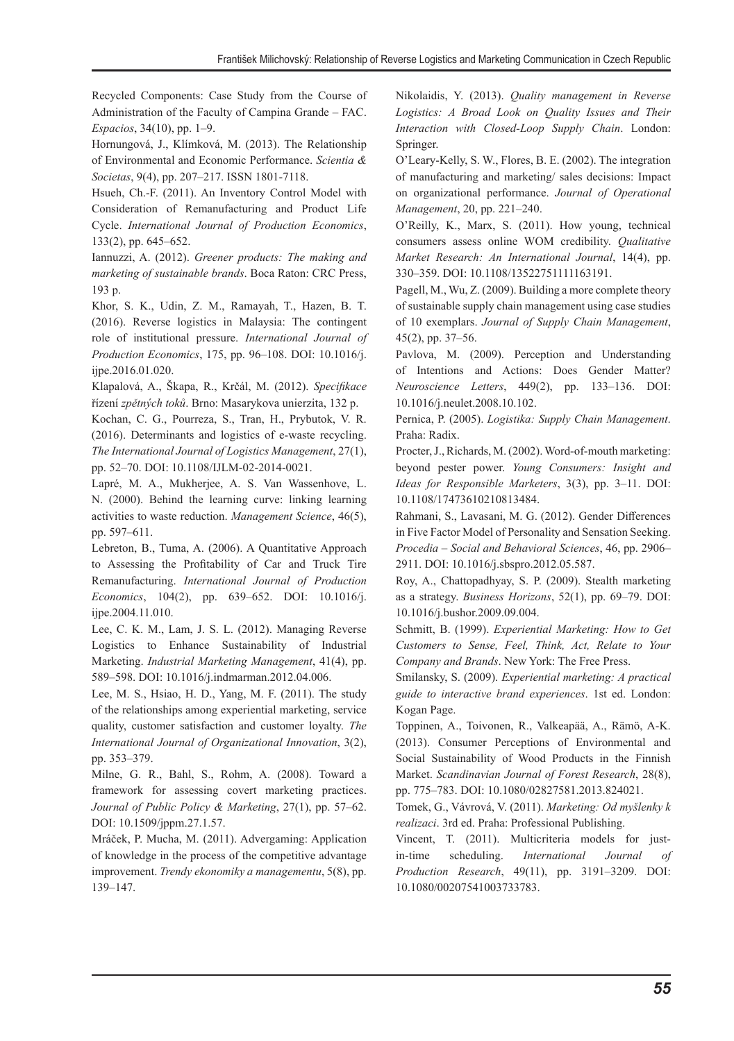Recycled Components: Case Study from the Course of Administration of the Faculty of Campina Grande – FAC. *Espacios*, 34(10), pp. 1–9.

Hornungová, J., Klímková, M. (2013). The Relationship of Environmental and Economic Performance. *Scientia & Societas*, 9(4), pp. 207–217. ISSN 1801-7118.

Hsueh, Ch.-F. (2011). An Inventory Control Model with Consideration of Remanufacturing and Product Life Cycle. *International Journal of Production Economics*, 133(2), pp. 645–652.

Iannuzzi, A. (2012). *Greener products: The making and marketing of sustainable brands*. Boca Raton: CRC Press, 193 p.

Khor, S. K., Udin, Z. M., Ramayah, T., Hazen, B. T. (2016). Reverse logistics in Malaysia: The contingent role of institutional pressure. *International Journal of Production Economics*, 175, pp. 96–108. DOI: 10.1016/j. ijpe.2016.01.020.

Klapalová, A., Škapa, R., Krčál, M. (2012). *Specifikace*  řízení *zpětných toků*. Brno: Masarykova unierzita, 132 p.

Kochan, C. G., Pourreza, S., Tran, H., Prybutok, V. R. (2016). Determinants and logistics of e-waste recycling. *The International Journal of Logistics Management*, 27(1), pp. 52–70. DOI: 10.1108/IJLM-02-2014-0021.

Lapré, M. A., Mukherjee, A. S. Van Wassenhove, L. N. (2000). Behind the learning curve: linking learning activities to waste reduction. *Management Science*, 46(5), pp. 597–611.

Lebreton, B., Tuma, A. (2006). A Quantitative Approach to Assessing the Profitability of Car and Truck Tire Remanufacturing. *International Journal of Production Economics*, 104(2), pp. 639–652. DOI: 10.1016/j. ijpe.2004.11.010.

Lee, C. K. M., Lam, J. S. L. (2012). Managing Reverse Logistics to Enhance Sustainability of Industrial Marketing. *Industrial Marketing Management*, 41(4), pp. 589–598. DOI: 10.1016/j.indmarman.2012.04.006.

Lee, M. S., Hsiao, H. D., Yang, M. F. (2011). The study of the relationships among experiential marketing, service quality, customer satisfaction and customer loyalty. *The International Journal of Organizational Innovation*, 3(2), pp. 353–379.

Milne, G. R., Bahl, S., Rohm, A. (2008). Toward a framework for assessing covert marketing practices. *Journal of Public Policy & Marketing*, 27(1), pp. 57–62. DOI: 10.1509/jppm.27.1.57.

Mráček, P. Mucha, M. (2011). Advergaming: Application of knowledge in the process of the competitive advantage improvement. *Trendy ekonomiky a managementu*, 5(8), pp. 139–147.

Nikolaidis, Y. (2013). *Quality management in Reverse Logistics: A Broad Look on Quality Issues and Their Interaction with Closed-Loop Supply Chain*. London: Springer.

O'Leary-Kelly, S. W., Flores, B. E. (2002). The integration of manufacturing and marketing/ sales decisions: Impact on organizational performance. *Journal of Operational Management*, 20, pp. 221–240.

O'Reilly, K., Marx, S. (2011). How young, technical consumers assess online WOM credibility. *Qualitative Market Research: An International Journal*, 14(4), pp. 330–359. DOI: 10.1108/13522751111163191.

Pagell, M., Wu, Z. (2009). Building a more complete theory of sustainable supply chain management using case studies of 10 exemplars. *Journal of Supply Chain Management*, 45(2), pp. 37–56.

Pavlova, M. (2009). Perception and Understanding of Intentions and Actions: Does Gender Matter? *Neuroscience Letters*, 449(2), pp. 133–136. DOI: 10.1016/j.neulet.2008.10.102.

Pernica, P. (2005). *Logistika: Supply Chain Management*. Praha: Radix.

Procter, J., Richards, M. (2002). Word-of-mouth marketing: beyond pester power. *Young Consumers: Insight and Ideas for Responsible Marketers*, 3(3), pp. 3–11. DOI: 10.1108/17473610210813484.

Rahmani, S., Lavasani, M. G. (2012). Gender Differences in Five Factor Model of Personality and Sensation Seeking. *Procedia – Social and Behavioral Sciences*, 46, pp. 2906– 2911. DOI: 10.1016/j.sbspro.2012.05.587.

Roy, A., Chattopadhyay, S. P. (2009). Stealth marketing as a strategy. *Business Horizons*, 52(1), pp. 69–79. DOI: 10.1016/j.bushor.2009.09.004.

Schmitt, B. (1999). *Experiential Marketing: How to Get Customers to Sense, Feel, Think, Act, Relate to Your Company and Brands*. New York: The Free Press.

Smilansky, S. (2009). *Experiential marketing: A practical guide to interactive brand experiences*. 1st ed. London: Kogan Page.

Toppinen, A., Toivonen, R., Valkeapää, A., Rämö, A-K. (2013). Consumer Perceptions of Environmental and Social Sustainability of Wood Products in the Finnish Market. *Scandinavian Journal of Forest Research*, 28(8), pp. 775–783. DOI: 10.1080/02827581.2013.824021.

Tomek, G., Vávrová, V. (2011). *Marketing: Od myšlenky k realizaci*. 3rd ed. Praha: Professional Publishing.

Vincent, T. (2011). Multicriteria models for justin-time scheduling. *International Journal of Production Research*, 49(11), pp. 3191–3209. DOI: 10.1080/00207541003733783.